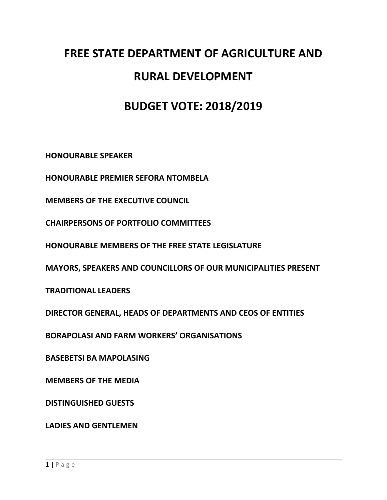## **FREE STATE DEPARTMENT OF AGRICULTURE AND RURAL DEVELOPMENT**

## **BUDGET VOTE: 2018/2019**

**HONOURABLE SPEAKER** 

**HONOURABLE PREMIER SEFORA NTOMBELA**

**MEMBERS OF THE EXECUTIVE COUNCIL**

**CHAIRPERSONS OF PORTFOLIO COMMITTEES**

**HONOURABLE MEMBERS OF THE FREE STATE LEGISLATURE**

**MAYORS, SPEAKERS AND COUNCILLORS OF OUR MUNICIPALITIES PRESENT**

**TRADITIONAL LEADERS**

**DIRECTOR GENERAL, HEADS OF DEPARTMENTS AND CEOS OF ENTITIES**

**BORAPOLASI AND FARM WORKERS' ORGANISATIONS**

**BASEBETSI BA MAPOLASING**

**MEMBERS OF THE MEDIA**

**DISTINGUISHED GUESTS**

**LADIES AND GENTLEMEN**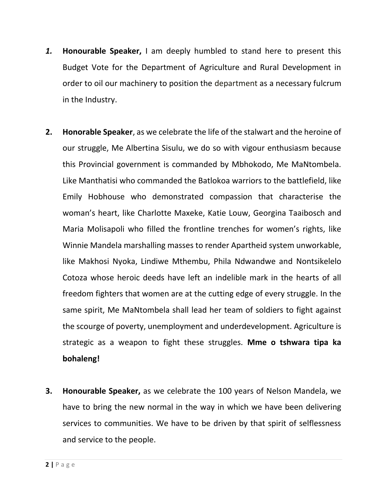- *1.* **Honourable Speaker,** I am deeply humbled to stand here to present this Budget Vote for the Department of Agriculture and Rural Development in order to oil our machinery to position the department as a necessary fulcrum in the Industry.
- **2. Honorable Speaker**, as we celebrate the life of the stalwart and the heroine of our struggle, Me Albertina Sisulu, we do so with vigour enthusiasm because this Provincial government is commanded by Mbhokodo, Me MaNtombela. Like Manthatisi who commanded the Batlokoa warriors to the battlefield, like Emily Hobhouse who demonstrated compassion that characterise the woman's heart, like Charlotte Maxeke, Katie Louw, Georgina Taaibosch and Maria Molisapoli who filled the frontline trenches for women's rights, like Winnie Mandela marshalling masses to render Apartheid system unworkable, like Makhosi Nyoka, Lindiwe Mthembu, Phila Ndwandwe and Nontsikelelo Cotoza whose heroic deeds have left an indelible mark in the hearts of all freedom fighters that women are at the cutting edge of every struggle. In the same spirit, Me MaNtombela shall lead her team of soldiers to fight against the scourge of poverty, unemployment and underdevelopment. Agriculture is strategic as a weapon to fight these struggles. **Mme o tshwara tipa ka bohaleng!**
- **3. Honourable Speaker,** as we celebrate the 100 years of Nelson Mandela, we have to bring the new normal in the way in which we have been delivering services to communities. We have to be driven by that spirit of selflessness and service to the people.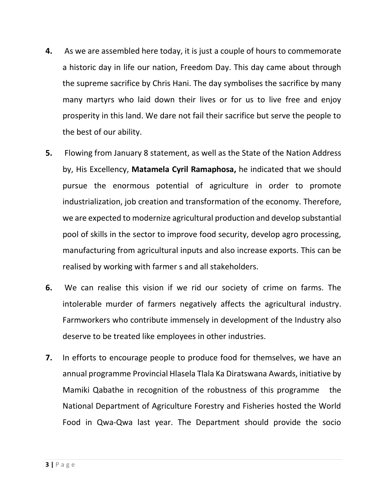- **4.** As we are assembled here today, it is just a couple of hours to commemorate a historic day in life our nation, Freedom Day. This day came about through the supreme sacrifice by Chris Hani. The day symbolises the sacrifice by many many martyrs who laid down their lives or for us to live free and enjoy prosperity in this land. We dare not fail their sacrifice but serve the people to the best of our ability.
- **5.** Flowing from January 8 statement, as well as the State of the Nation Address by, His Excellency, **Matamela Cyril Ramaphosa,** he indicated that we should pursue the enormous potential of agriculture in order to promote industrialization, job creation and transformation of the economy. Therefore, we are expected to modernize agricultural production and develop substantial pool of skills in the sector to improve food security, develop agro processing, manufacturing from agricultural inputs and also increase exports. This can be realised by working with farmer s and all stakeholders.
- **6.** We can realise this vision if we rid our society of crime on farms. The intolerable murder of farmers negatively affects the agricultural industry. Farmworkers who contribute immensely in development of the Industry also deserve to be treated like employees in other industries.
- **7.** In efforts to encourage people to produce food for themselves, we have an annual programme Provincial Hlasela Tlala Ka Diratswana Awards, initiative by Mamiki Qabathe in recognition of the robustness of this programme the National Department of Agriculture Forestry and Fisheries hosted the World Food in Qwa-Qwa last year. The Department should provide the socio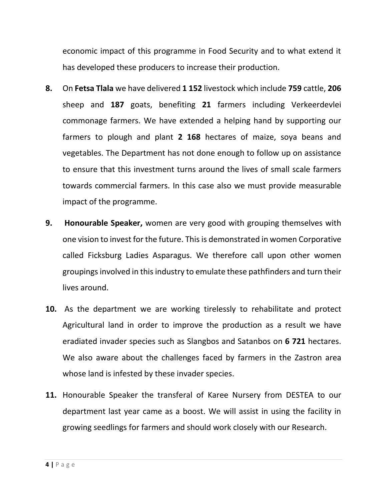economic impact of this programme in Food Security and to what extend it has developed these producers to increase their production.

- **8.** On **Fetsa Tlala** we have delivered **1 152** livestock which include **759** cattle, **206** sheep and **187** goats, benefiting **21** farmers including Verkeerdevlei commonage farmers. We have extended a helping hand by supporting our farmers to plough and plant **2 168** hectares of maize, soya beans and vegetables. The Department has not done enough to follow up on assistance to ensure that this investment turns around the lives of small scale farmers towards commercial farmers. In this case also we must provide measurable impact of the programme.
- **9. Honourable Speaker,** women are very good with grouping themselves with one vision to invest for the future. This is demonstrated in women Corporative called Ficksburg Ladies Asparagus. We therefore call upon other women groupings involved in this industry to emulate these pathfinders and turn their lives around.
- **10.** As the department we are working tirelessly to rehabilitate and protect Agricultural land in order to improve the production as a result we have eradiated invader species such as Slangbos and Satanbos on **6 721** hectares. We also aware about the challenges faced by farmers in the Zastron area whose land is infested by these invader species.
- **11.** Honourable Speaker the transferal of Karee Nursery from DESTEA to our department last year came as a boost. We will assist in using the facility in growing seedlings for farmers and should work closely with our Research.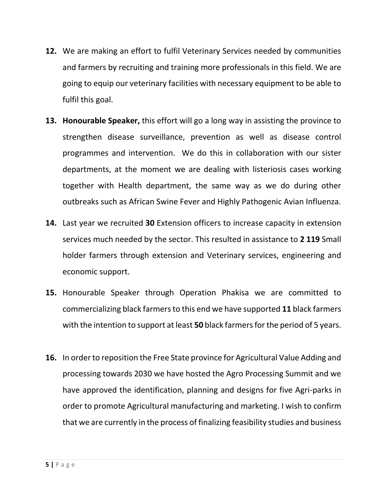- **12.** We are making an effort to fulfil Veterinary Services needed by communities and farmers by recruiting and training more professionals in this field. We are going to equip our veterinary facilities with necessary equipment to be able to fulfil this goal.
- **13. Honourable Speaker,** this effort will go a long way in assisting the province to strengthen disease surveillance, prevention as well as disease control programmes and intervention. We do this in collaboration with our sister departments, at the moment we are dealing with listeriosis cases working together with Health department, the same way as we do during other outbreaks such as African Swine Fever and Highly Pathogenic Avian Influenza.
- **14.** Last year we recruited **30** Extension officers to increase capacity in extension services much needed by the sector. This resulted in assistance to **2 119** Small holder farmers through extension and Veterinary services, engineering and economic support.
- **15.** Honourable Speaker through Operation Phakisa we are committed to commercializing black farmers to this end we have supported **11** black farmers with the intention to support at least **50** black farmers for the period of 5 years.
- **16.** In order to reposition the Free State province for Agricultural Value Adding and processing towards 2030 we have hosted the Agro Processing Summit and we have approved the identification, planning and designs for five Agri-parks in order to promote Agricultural manufacturing and marketing. I wish to confirm that we are currently in the process of finalizing feasibility studies and business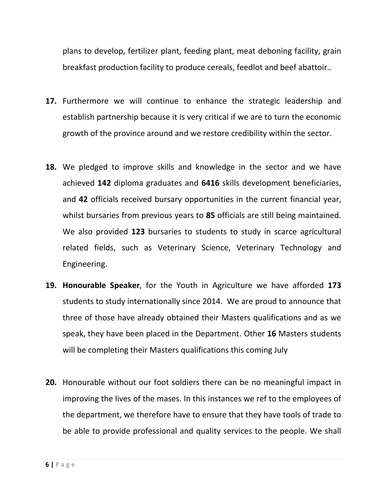plans to develop, fertilizer plant, feeding plant, meat deboning facility, grain breakfast production facility to produce cereals, feedlot and beef abattoir..

- **17.** Furthermore we will continue to enhance the strategic leadership and establish partnership because it is very critical if we are to turn the economic growth of the province around and we restore credibility within the sector.
- **18.** We pledged to improve skills and knowledge in the sector and we have achieved **142** diploma graduates and **6416** skills development beneficiaries, and **42** officials received bursary opportunities in the current financial year, whilst bursaries from previous years to **85** officials are still being maintained. We also provided **123** bursaries to students to study in scarce agricultural related fields, such as Veterinary Science, Veterinary Technology and Engineering.
- **19. Honourable Speaker**, for the Youth in Agriculture we have afforded **173** students to study internationally since 2014. We are proud to announce that three of those have already obtained their Masters qualifications and as we speak, they have been placed in the Department. Other **16** Masters students will be completing their Masters qualifications this coming July
- **20.** Honourable without our foot soldiers there can be no meaningful impact in improving the lives of the mases. In this instances we ref to the employees of the department, we therefore have to ensure that they have tools of trade to be able to provide professional and quality services to the people. We shall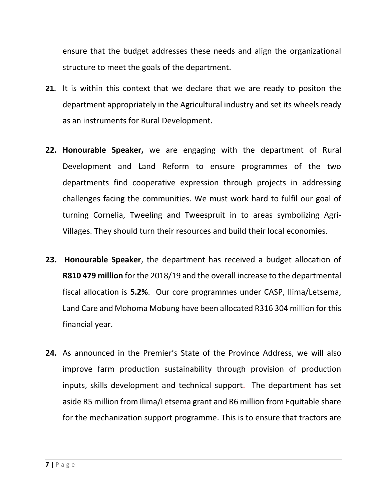ensure that the budget addresses these needs and align the organizational structure to meet the goals of the department.

- **21.** It is within this context that we declare that we are ready to positon the department appropriately in the Agricultural industry and set its wheels ready as an instruments for Rural Development.
- **22. Honourable Speaker,** we are engaging with the department of Rural Development and Land Reform to ensure programmes of the two departments find cooperative expression through projects in addressing challenges facing the communities. We must work hard to fulfil our goal of turning Cornelia, Tweeling and Tweespruit in to areas symbolizing Agri-Villages. They should turn their resources and build their local economies.
- **23. Honourable Speaker**, the department has received a budget allocation of **R810 479 million** for the 2018/19 and the overall increase to the departmental fiscal allocation is **5.2%**. Our core programmes under CASP, Ilima/Letsema, Land Care and Mohoma Mobung have been allocated R316 304 million for this financial year.
- **24.** As announced in the Premier's State of the Province Address, we will also improve farm production sustainability through provision of production inputs, skills development and technical support. The department has set aside R5 million from Ilima/Letsema grant and R6 million from Equitable share for the mechanization support programme. This is to ensure that tractors are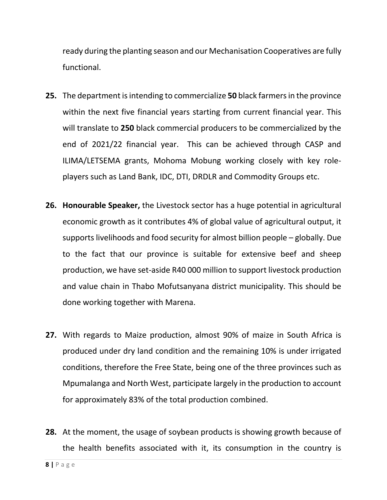ready during the planting season and our Mechanisation Cooperatives are fully functional.

- **25.** The department is intending to commercialize 50 black farmers in the province within the next five financial years starting from current financial year. This will translate to **250** black commercial producers to be commercialized by the end of 2021/22 financial year. This can be achieved through CASP and ILIMA/LETSEMA grants, Mohoma Mobung working closely with key roleplayers such as Land Bank, IDC, DTI, DRDLR and Commodity Groups etc.
- **26. Honourable Speaker,** the Livestock sector has a huge potential in agricultural economic growth as it contributes 4% of global value of agricultural output, it supports livelihoods and food security for almost billion people – globally. Due to the fact that our province is suitable for extensive beef and sheep production, we have set-aside R40 000 million to support livestock production and value chain in Thabo Mofutsanyana district municipality. This should be done working together with Marena.
- **27.** With regards to Maize production, almost 90% of maize in South Africa is produced under dry land condition and the remaining 10% is under irrigated conditions, therefore the Free State, being one of the three provinces such as Mpumalanga and North West, participate largely in the production to account for approximately 83% of the total production combined.
- **28.** At the moment, the usage of soybean products is showing growth because of the health benefits associated with it, its consumption in the country is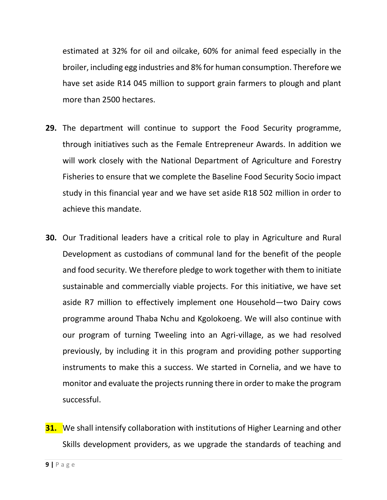estimated at 32% for oil and oilcake, 60% for animal feed especially in the broiler, including egg industries and 8% for human consumption. Therefore we have set aside R14 045 million to support grain farmers to plough and plant more than 2500 hectares.

- **29.** The department will continue to support the Food Security programme, through initiatives such as the Female Entrepreneur Awards. In addition we will work closely with the National Department of Agriculture and Forestry Fisheries to ensure that we complete the Baseline Food Security Socio impact study in this financial year and we have set aside R18 502 million in order to achieve this mandate.
- **30.** Our Traditional leaders have a critical role to play in Agriculture and Rural Development as custodians of communal land for the benefit of the people and food security. We therefore pledge to work together with them to initiate sustainable and commercially viable projects. For this initiative, we have set aside R7 million to effectively implement one Household—two Dairy cows programme around Thaba Nchu and Kgolokoeng. We will also continue with our program of turning Tweeling into an Agri-village, as we had resolved previously, by including it in this program and providing pother supporting instruments to make this a success. We started in Cornelia, and we have to monitor and evaluate the projects running there in order to make the program successful.
- **31.** We shall intensify collaboration with institutions of Higher Learning and other Skills development providers, as we upgrade the standards of teaching and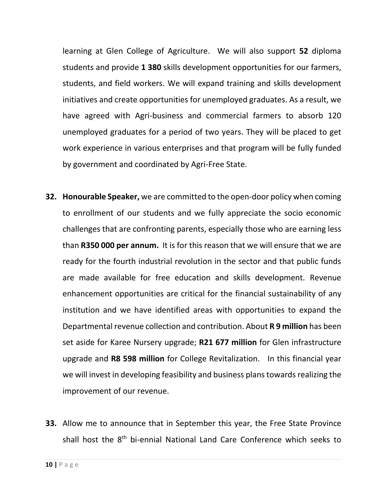learning at Glen College of Agriculture. We will also support **52** diploma students and provide **1 380** skills development opportunities for our farmers, students, and field workers. We will expand training and skills development initiatives and create opportunities for unemployed graduates. As a result, we have agreed with Agri-business and commercial farmers to absorb 120 unemployed graduates for a period of two years. They will be placed to get work experience in various enterprises and that program will be fully funded by government and coordinated by Agri-Free State.

- **32. Honourable Speaker,** we are committed to the open-door policy when coming to enrollment of our students and we fully appreciate the socio economic challenges that are confronting parents, especially those who are earning less than **R350 000 per annum.** It is for this reason that we will ensure that we are ready for the fourth industrial revolution in the sector and that public funds are made available for free education and skills development. Revenue enhancement opportunities are critical for the financial sustainability of any institution and we have identified areas with opportunities to expand the Departmental revenue collection and contribution. About **R 9 million** has been set aside for Karee Nursery upgrade; **R21 677 million** for Glen infrastructure upgrade and **R8 598 million** for College Revitalization. In this financial year we will invest in developing feasibility and business plans towards realizing the improvement of our revenue.
- **33.** Allow me to announce that in September this year, the Free State Province shall host the 8<sup>th</sup> bi-ennial National Land Care Conference which seeks to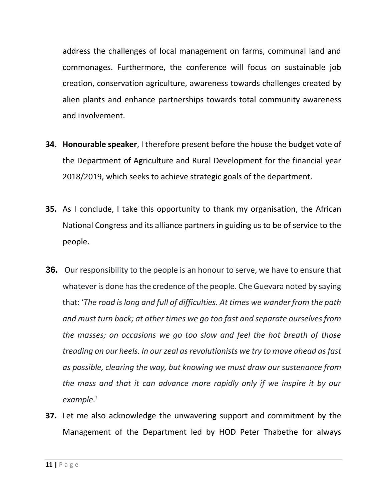address the challenges of local management on farms, communal land and commonages. Furthermore, the conference will focus on sustainable job creation, conservation agriculture, awareness towards challenges created by alien plants and enhance partnerships towards total community awareness and involvement.

- **34. Honourable speaker**, I therefore present before the house the budget vote of the Department of Agriculture and Rural Development for the financial year 2018/2019, which seeks to achieve strategic goals of the department.
- **35.** As I conclude, I take this opportunity to thank my organisation, the African National Congress and its alliance partners in guiding us to be of service to the people.
- **36.** Our responsibility to the people is an honour to serve, we have to ensure that whatever is done has the credence of the people. Che Guevara noted by saying that: '*The road is long and full of difficulties. At times we wander from the path and must turn back; at other times we go too fast and separate ourselves from the masses; on occasions we go too slow and feel the hot breath of those treading on our heels. In our zeal as revolutionists we try to move ahead as fast as possible, clearing the way, but knowing we must draw our sustenance from the mass and that it can advance more rapidly only if we inspire it by our example*.'
- **37.** Let me also acknowledge the unwavering support and commitment by the Management of the Department led by HOD Peter Thabethe for always